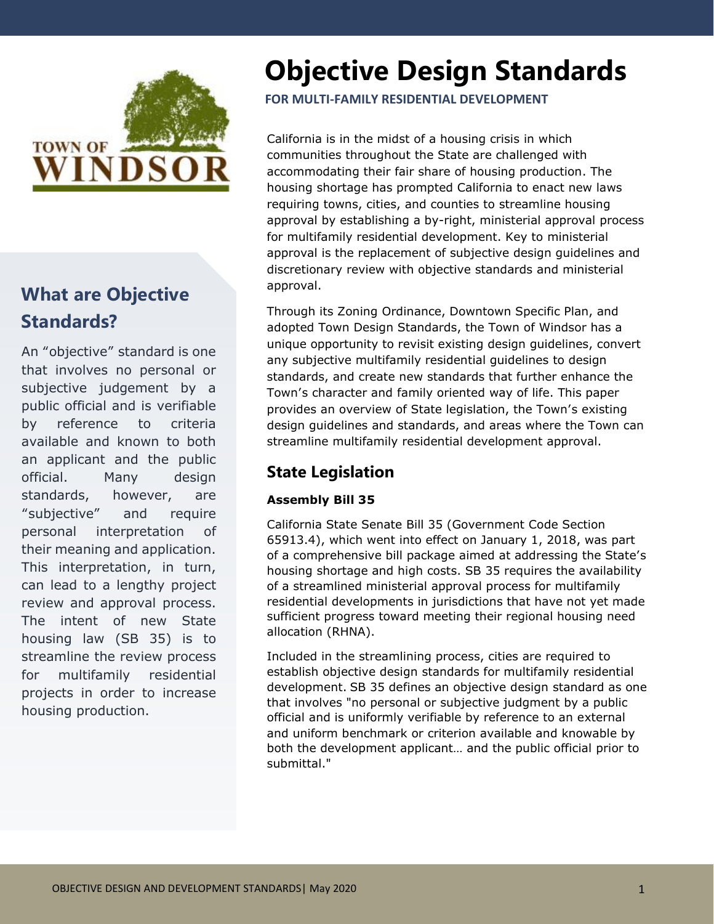

# **What are Objective Standards?**

An "objective" standard is one that involves no personal or subjective judgement by a public official and is verifiable by reference to criteria available and known to both an applicant and the public official. Many design standards, however, are "subjective" and require personal interpretation of their meaning and application. This interpretation, in turn, can lead to a lengthy project review and approval process. The intent of new State housing law (SB 35) is to streamline the review process for multifamily residential projects in order to increase housing production.

# **Objective Design Standards**

**FOR MULTI-FAMILY RESIDENTIAL DEVELOPMENT**

California is in the midst of a housing crisis in which communities throughout the State are challenged with accommodating their fair share of housing production. The housing shortage has prompted California to enact new laws requiring towns, cities, and counties to streamline housing approval by establishing a by-right, ministerial approval process for multifamily residential development. Key to ministerial approval is the replacement of subjective design guidelines and discretionary review with objective standards and ministerial approval.

Through its Zoning Ordinance, Downtown Specific Plan, and adopted Town Design Standards, the Town of Windsor has a unique opportunity to revisit existing design guidelines, convert any subjective multifamily residential guidelines to design standards, and create new standards that further enhance the Town's character and family oriented way of life. This paper provides an overview of State legislation, the Town's existing design guidelines and standards, and areas where the Town can streamline multifamily residential development approval.

# **State Legislation**

### **Assembly Bill 35**

California State Senate Bill 35 (Government Code Section 65913.4), which went into effect on January 1, 2018, was part of a comprehensive bill package aimed at addressing the State's housing shortage and high costs. SB 35 requires the availability of a streamlined ministerial approval process for multifamily residential developments in jurisdictions that have not yet made sufficient progress toward meeting their regional housing need allocation (RHNA).

Included in the streamlining process, cities are required to establish objective design standards for multifamily residential development. SB 35 defines an objective design standard as one that involves "no personal or subjective judgment by a public official and is uniformly verifiable by reference to an external and uniform benchmark or criterion available and knowable by both the development applicant… and the public official prior to submittal."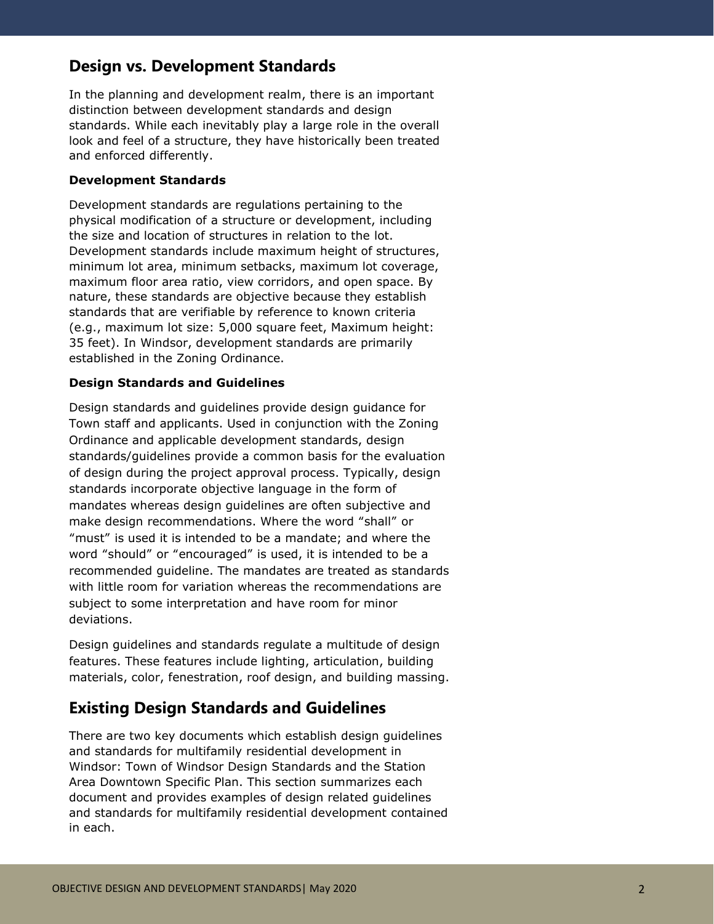# **Design vs. Development Standards**

In the planning and development realm, there is an important distinction between development standards and design standards. While each inevitably play a large role in the overall look and feel of a structure, they have historically been treated and enforced differently.

### **Development Standards**

Development standards are regulations pertaining to the physical modification of a structure or development, including the size and location of structures in relation to the lot. Development standards include maximum height of structures, minimum lot area, minimum setbacks, maximum lot coverage, maximum floor area ratio, view corridors, and open space. By nature, these standards are objective because they establish standards that are verifiable by reference to known criteria (e.g., maximum lot size: 5,000 square feet, Maximum height: 35 feet). In Windsor, development standards are primarily established in the Zoning Ordinance.

#### **Design Standards and Guidelines**

Design standards and guidelines provide design guidance for Town staff and applicants. Used in conjunction with the Zoning Ordinance and applicable development standards, design standards/guidelines provide a common basis for the evaluation of design during the project approval process. Typically, design standards incorporate objective language in the form of mandates whereas design guidelines are often subjective and make design recommendations. Where the word "shall" or "must" is used it is intended to be a mandate; and where the word "should" or "encouraged" is used, it is intended to be a recommended guideline. The mandates are treated as standards with little room for variation whereas the recommendations are subject to some interpretation and have room for minor deviations.

Design guidelines and standards regulate a multitude of design features. These features include lighting, articulation, building materials, color, fenestration, roof design, and building massing.

### **Existing Design Standards and Guidelines**

There are two key documents which establish design guidelines and standards for multifamily residential development in Windsor: Town of Windsor Design Standards and the Station Area Downtown Specific Plan. This section summarizes each document and provides examples of design related guidelines and standards for multifamily residential development contained in each.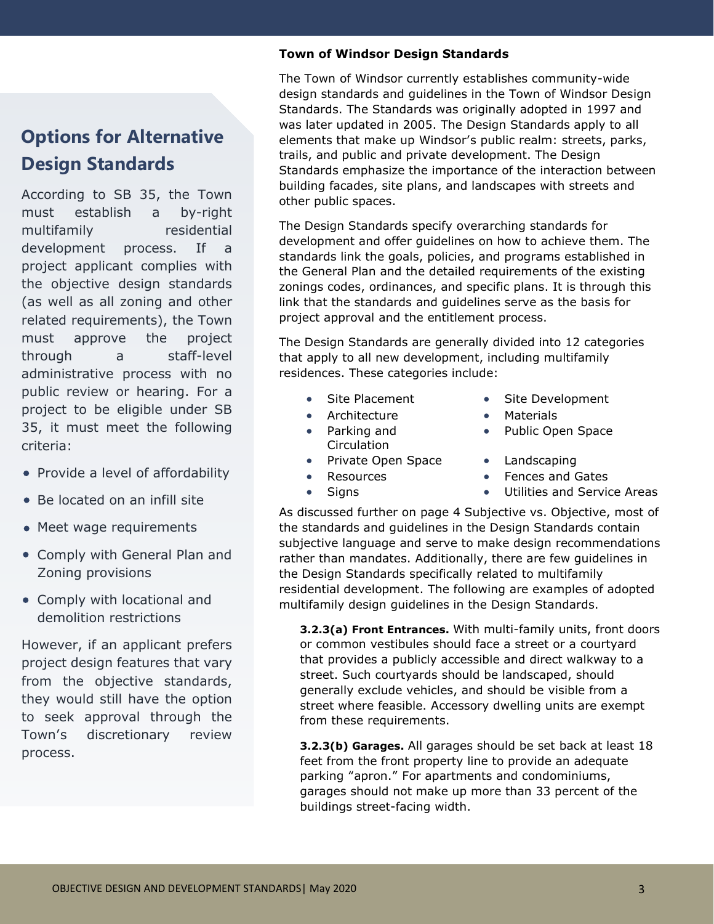# **Options for Alternative Design Standards**

According to SB 35, the Town must establish a by-right multifamily residential development process. If a project applicant complies with the objective design standards (as well as all zoning and other related requirements), the Town must approve the project through a staff-level administrative process with no public review or hearing. For a project to be eligible under SB 35, it must meet the following criteria:

- Provide a level of affordability
- Be located on an infill site
- Meet wage requirements
- Comply with General Plan and Zoning provisions
- Comply with locational and demolition restrictions

However, if an applicant prefers project design features that vary from the objective standards, they would still have the option to seek approval through the Town's discretionary review process.

### **Town of Windsor Design Standards**

The Town of Windsor currently establishes community-wide design standards and guidelines in the Town of Windsor Design Standards. The Standards was originally adopted in 1997 and was later updated in 2005. The Design Standards apply to all elements that make up Windsor's public realm: streets, parks, trails, and public and private development. The Design Standards emphasize the importance of the interaction between building facades, site plans, and landscapes with streets and other public spaces.

The Design Standards specify overarching standards for development and offer guidelines on how to achieve them. The standards link the goals, policies, and programs established in the General Plan and the detailed requirements of the existing zonings codes, ordinances, and specific plans. It is through this link that the standards and guidelines serve as the basis for project approval and the entitlement process.

The Design Standards are generally divided into 12 categories that apply to all new development, including multifamily residences. These categories include:

- 
- Architecture Materials
- Parking and **Circulation**
- Private Open Space Landscaping
- 
- Site Placement Site Development
	-
	- Public Open Space
	-
- Resources Fences and Gates
- Signs Utilities and Service Areas

As discussed further on page 4 Subjective vs. Objective, most of the standards and guidelines in the Design Standards contain subjective language and serve to make design recommendations rather than mandates. Additionally, there are few guidelines in the Design Standards specifically related to multifamily residential development. The following are examples of adopted multifamily design guidelines in the Design Standards.

**3.2.3(a) Front Entrances.** With multi-family units, front doors or common vestibules should face a street or a courtyard that provides a publicly accessible and direct walkway to a street. Such courtyards should be landscaped, should generally exclude vehicles, and should be visible from a street where feasible. Accessory dwelling units are exempt from these requirements.

**3.2.3(b) Garages.** All garages should be set back at least 18 feet from the front property line to provide an adequate parking "apron." For apartments and condominiums, garages should not make up more than 33 percent of the buildings street-facing width.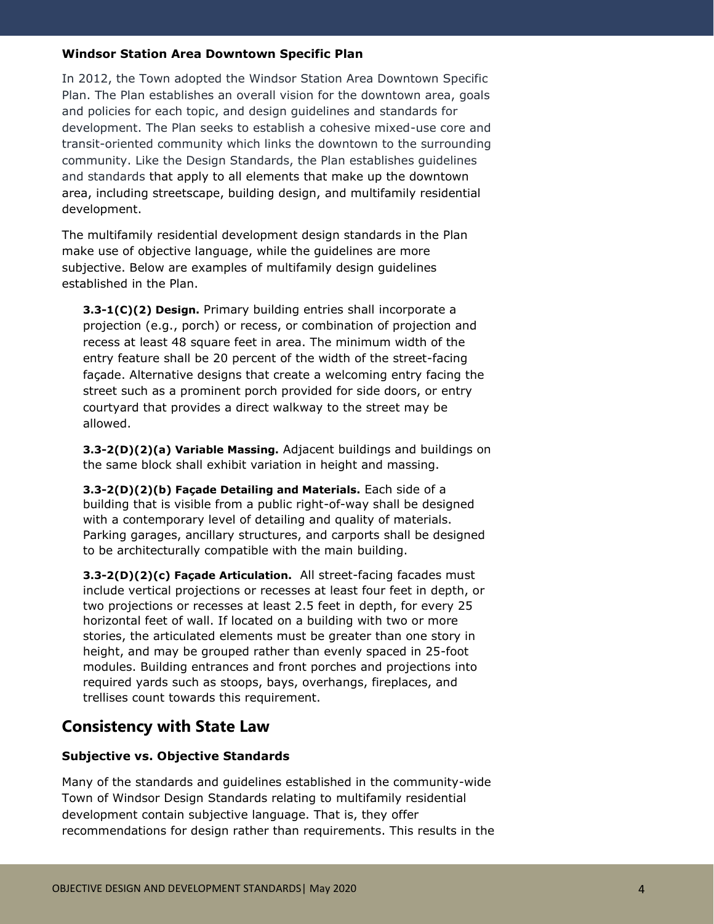### **Windsor Station Area Downtown Specific Plan**

In 2012, the Town adopted the Windsor Station Area Downtown Specific Plan. The Plan establishes an overall vision for the downtown area, goals and policies for each topic, and design guidelines and standards for development. The Plan seeks to establish a cohesive mixed-use core and transit-oriented community which links the downtown to the surrounding community. Like the Design Standards, the Plan establishes guidelines and standards that apply to all elements that make up the downtown area, including streetscape, building design, and multifamily residential development.

The multifamily residential development design standards in the Plan make use of objective language, while the guidelines are more subjective. Below are examples of multifamily design guidelines established in the Plan.

**3.3-1(C)(2) Design.** Primary building entries shall incorporate a projection (e.g., porch) or recess, or combination of projection and recess at least 48 square feet in area. The minimum width of the entry feature shall be 20 percent of the width of the street-facing façade. Alternative designs that create a welcoming entry facing the street such as a prominent porch provided for side doors, or entry courtyard that provides a direct walkway to the street may be allowed.

**3.3-2(D)(2)(a) Variable Massing.** Adjacent buildings and buildings on the same block shall exhibit variation in height and massing.

**3.3-2(D)(2)(b) Façade Detailing and Materials.** Each side of a building that is visible from a public right-of-way shall be designed with a contemporary level of detailing and quality of materials. Parking garages, ancillary structures, and carports shall be designed to be architecturally compatible with the main building.

**3.3-2(D)(2)(c) Façade Articulation.** All street-facing facades must include vertical projections or recesses at least four feet in depth, or two projections or recesses at least 2.5 feet in depth, for every 25 horizontal feet of wall. If located on a building with two or more stories, the articulated elements must be greater than one story in height, and may be grouped rather than evenly spaced in 25-foot modules. Building entrances and front porches and projections into required yards such as stoops, bays, overhangs, fireplaces, and trellises count towards this requirement.

# **Consistency with State Law**

### **Subjective vs. Objective Standards**

Many of the standards and guidelines established in the community-wide Town of Windsor Design Standards relating to multifamily residential development contain subjective language. That is, they offer recommendations for design rather than requirements. This results in the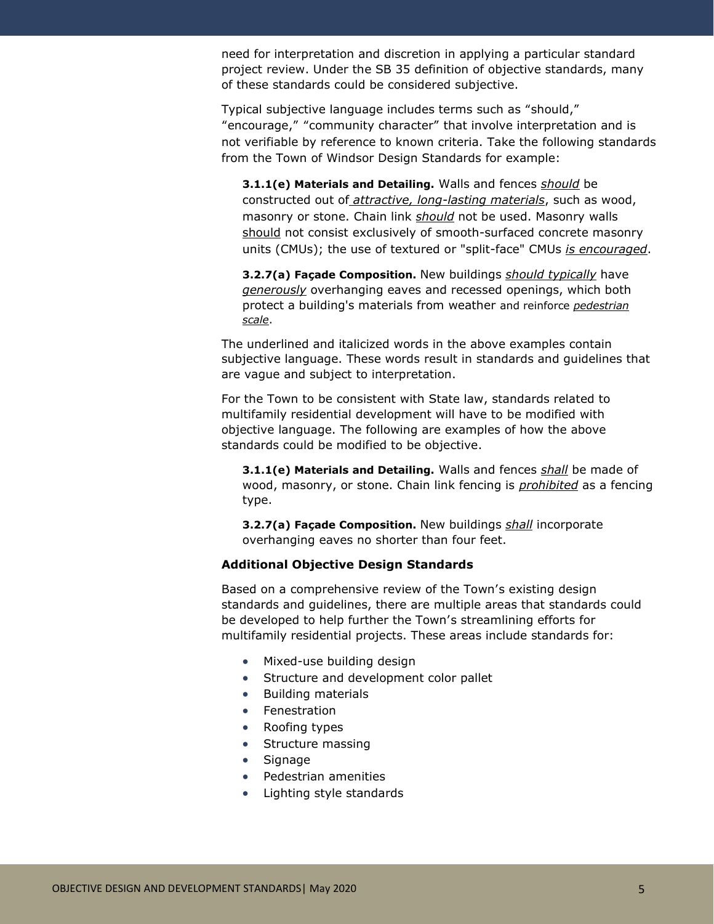need for interpretation and discretion in applying a particular standard project review. Under the SB 35 definition of objective standards, many of these standards could be considered subjective.

Typical subjective language includes terms such as "should," "encourage," "community character" that involve interpretation and is not verifiable by reference to known criteria. Take the following standards from the Town of Windsor Design Standards for example:

**3.1.1(e) Materials and Detailing.** Walls and fences *should* be constructed out of *attractive, long-lasting materials*, such as wood, masonry or stone. Chain link *should* not be used. Masonry walls should not consist exclusively of smooth-surfaced concrete masonry units (CMUs); the use of textured or "split-face" CMUs *is encouraged*.

**3.2.7(a) Façade Composition.** New buildings *should typically* have *generously* overhanging eaves and recessed openings, which both protect a building's materials from weather and reinforce *pedestrian scale*.

The underlined and italicized words in the above examples contain subjective language. These words result in standards and guidelines that are vague and subject to interpretation.

For the Town to be consistent with State law, standards related to multifamily residential development will have to be modified with objective language. The following are examples of how the above standards could be modified to be objective.

**3.1.1(e) Materials and Detailing.** Walls and fences *shall* be made of wood, masonry, or stone. Chain link fencing is *prohibited* as a fencing type.

**3.2.7(a) Façade Composition.** New buildings *shall* incorporate overhanging eaves no shorter than four feet.

### **Additional Objective Design Standards**

Based on a comprehensive review of the Town's existing design standards and guidelines, there are multiple areas that standards could be developed to help further the Town's streamlining efforts for multifamily residential projects. These areas include standards for:

- Mixed-use building design
- Structure and development color pallet
- Building materials
- Fenestration
- Roofing types
- Structure massing
- Signage
- Pedestrian amenities
- Lighting style standards